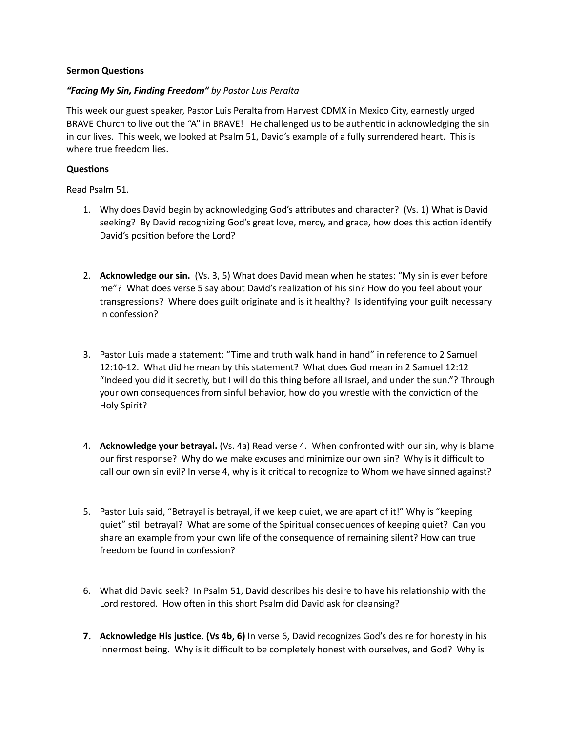## **Sermon Questions**

## *"Facing My Sin, Finding Freedom" by Pastor Luis Peralta*

This week our guest speaker, Pastor Luis Peralta from Harvest CDMX in Mexico City, earnestly urged BRAVE Church to live out the "A" in BRAVE! He challenged us to be authentic in acknowledging the sin in our lives. This week, we looked at Psalm 51, David's example of a fully surrendered heart. This is where true freedom lies.

## **Questions**

Read Psalm 51.

- 1. Why does David begin by acknowledging God's attributes and character? (Vs. 1) What is David seeking? By David recognizing God's great love, mercy, and grace, how does this action identify David's position before the Lord?
- 2. **Acknowledge our sin.** (Vs. 3, 5) What does David mean when he states: "My sin is ever before me"? What does verse 5 say about David's realization of his sin? How do you feel about your transgressions? Where does guilt originate and is it healthy? Is identifying your guilt necessary in confession?
- 3. Pastor Luis made a statement: "Time and truth walk hand in hand" in reference to 2 Samuel 12:10-12. What did he mean by this statement? What does God mean in 2 Samuel 12:12 "Indeed you did it secretly, but I will do this thing before all Israel, and under the sun."? Through your own consequences from sinful behavior, how do you wrestle with the conviction of the Holy Spirit?
- 4. **Acknowledge your betrayal.** (Vs. 4a) Read verse 4. When confronted with our sin, why is blame our first response? Why do we make excuses and minimize our own sin? Why is it difficult to call our own sin evil? In verse 4, why is it critical to recognize to Whom we have sinned against?
- 5. Pastor Luis said, "Betrayal is betrayal, if we keep quiet, we are apart of it!" Why is "keeping quiet" still betrayal? What are some of the Spiritual consequences of keeping quiet? Can you share an example from your own life of the consequence of remaining silent? How can true freedom be found in confession?
- 6. What did David seek? In Psalm 51, David describes his desire to have his relationship with the Lord restored. How often in this short Psalm did David ask for cleansing?
- **7. Acknowledge His justice. (Vs 4b, 6)** In verse 6, David recognizes God's desire for honesty in his innermost being. Why is it difficult to be completely honest with ourselves, and God? Why is